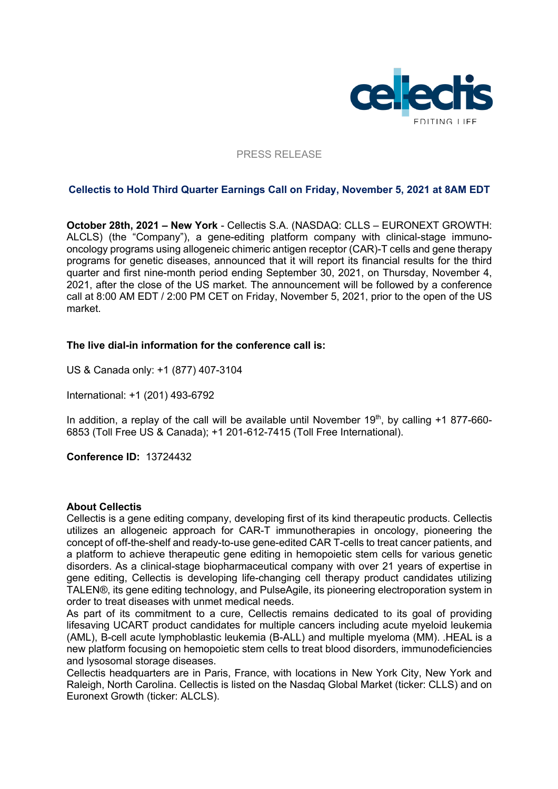

# PRESS RELEASE

# **Cellectis to Hold Third Quarter Earnings Call on Friday, November 5, 2021 at 8AM EDT**

**October 28th, 2021 – New York** - Cellectis S.A. (NASDAQ: CLLS – EURONEXT GROWTH: ALCLS) (the "Company"), a gene-editing platform company with clinical-stage immunooncology programs using allogeneic chimeric antigen receptor (CAR)-T cells and gene therapy programs for genetic diseases, announced that it will report its financial results for the third quarter and first nine-month period ending September 30, 2021, on Thursday, November 4, 2021, after the close of the US market. The announcement will be followed by a conference call at 8:00 AM EDT / 2:00 PM CET on Friday, November 5, 2021, prior to the open of the US market.

# **The live dial-in information for the conference call is:**

US & Canada only: +1 (877) 407-3104

International: +1 (201) 493-6792

In addition, a replay of the call will be available until November  $19<sup>th</sup>$ , by calling  $+1$  877-660-6853 (Toll Free US & Canada); +1 201-612-7415 (Toll Free International).

**Conference ID:** 13724432

## **About Cellectis**

Cellectis is a gene editing company, developing first of its kind therapeutic products. Cellectis utilizes an allogeneic approach for CAR-T immunotherapies in oncology, pioneering the concept of off-the-shelf and ready-to-use gene-edited CAR T-cells to treat cancer patients, and a platform to achieve therapeutic gene editing in hemopoietic stem cells for various genetic disorders. As a clinical-stage biopharmaceutical company with over 21 years of expertise in gene editing, Cellectis is developing life-changing cell therapy product candidates utilizing TALEN®, its gene editing technology, and PulseAgile, its pioneering electroporation system in order to treat diseases with unmet medical needs.

As part of its commitment to a cure, Cellectis remains dedicated to its goal of providing lifesaving UCART product candidates for multiple cancers including acute myeloid leukemia (AML), B-cell acute lymphoblastic leukemia (B-ALL) and multiple myeloma (MM). .HEAL is a new platform focusing on hemopoietic stem cells to treat blood disorders, immunodeficiencies and lysosomal storage diseases.

Cellectis headquarters are in Paris, France, with locations in New York City, New York and Raleigh, North Carolina. Cellectis is listed on the Nasdaq Global Market (ticker: CLLS) and on Euronext Growth (ticker: ALCLS).